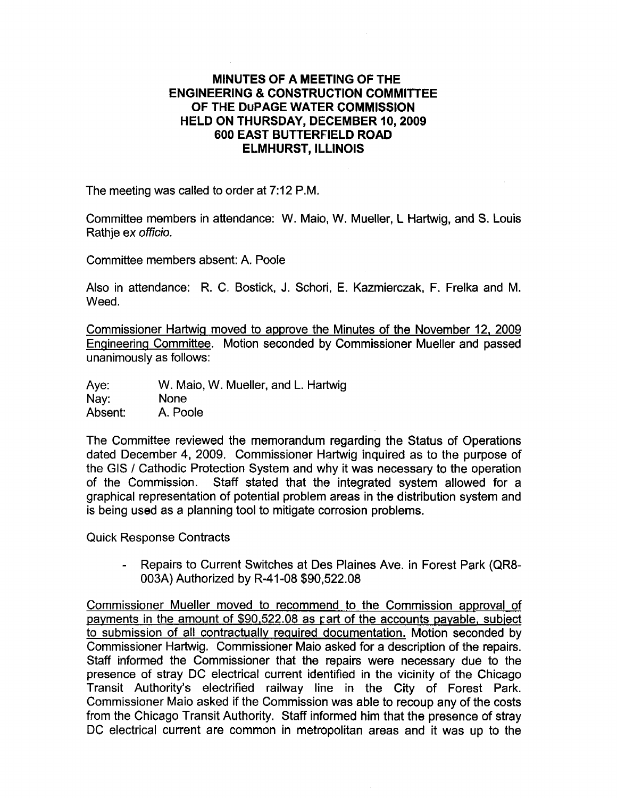## MINUTE\$ OF A MEETING OF THE ENGINEERING & CONSTRUCTION COMMITTEE OF THE DUPAGE WATER GOMMISSION HELD ON THURSDAY, DECEMBER 10, 2OO9 600 EAST BUTTERFIELD ROAD ELMHURST, ILLINOIS

The meeting was called to order at 7:12 P.M.

Committee members in attendance: W. Maio, W. Mueller, L Hartwig, and S. Louis Rathje ex officio.

Committee members absent: A. Poole

Also in attendance: R. C. Bostick, J. Schori, E. Kazmierczak, F. Frelka and M. Weed.

Commissioner Hartwiq moved to approve the Minutes of the November 12, 2009 Enqineerinq Committee. Motion seconded by Commissioner Mueller and passed <sup>u</sup>nanimously as follows:

Aye: W. Maio, W. Mueller, and L. Hartwig<br>Nay: None<br>Absent: A. Poole A. Poole

The Committee reviewed the memorandum regarding the Status of Operations dated December 4, 2009. Commissioner Hartwig inquired as to the purpose of the GIS / Cathodic Protection System and why it was necessary to the operation of the Commission. Staff stated that the integrated system allowed for a graphical representation of potential problem areas in the distribution system and is being used as a planning tool to mitigate corrosion problems.

Quick Response Contracts

- Repairs to Current Switches at Des Plaines Ave. in Forest Park (QR8- 003A) Authorized by R-41 -08 \$90,522.08

Commissioner Mueller moved to recommend to the Commission approval of payments in the amount of  $$90,522.08$  as part of the accounts payable, subject to submission of all contractually required documentation. Motion seconded by Commissioner Hartwig. Commissioner Maio asked for a description of the repairs. Staff informed the Commissioner that the repairs were necessary due to the presence of stray DC electrical current identified in the vicinity of the Chicago Transit Authority's electrified railway line in the City of Forest Park. Commissioner Maio asked if the Commission was able to recoup any of the costs from the Chicago Transit Authority. Staff informed him that the presence of stray DC electrical current are common in metropolitan areas and it was up to the